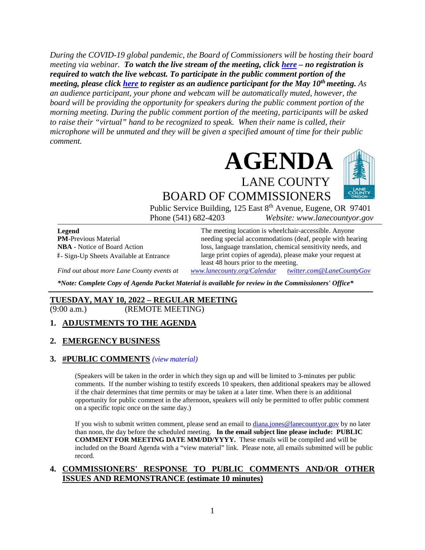*During the COVID-19 global pandemic, the Board of Commissioners will be hosting their board meeting via webinar. To watch the live stream of the meeting, click [here](https://lanecounty.org/cms/One.aspx?portalId=3585881&pageId=7842434) – no registration is required to watch the live webcast. To participate in the public comment portion of the meeting, please click [here](https://us06web.zoom.us/webinar/register/WN_Y1hL6gLyQguuU7E1dw08ew) to register as an audience participant for the May 10th meeting. As an audience participant, your phone and webcam will be automatically muted, however, the board will be providing the opportunity for speakers during the public comment portion of the morning meeting. During the public comment portion of the meeting, participants will be asked to raise their "virtual" hand to be recognized to speak. When their name is called, their microphone will be unmuted and they will be given a specified amount of time for their public comment.* 



BOARD OF COMMISSIONERS Public Service Building, 125 East 8<sup>th</sup> Avenue, Eugene, OR 97401

Phone (541) 682-4203 *Website: www.lanecountyor.gov*

**Legend PM**-Previous Material **NBA** - Notice of Board Action **#** - Sign-Up Sheets Available at Entrance

The meeting location is wheelchair-accessible. Anyone needing special accommodations (deaf, people with hearing loss, language translation, chemical sensitivity needs, and large print copies of agenda), please make your request at least 48 hours prior to the meeting.

*Find out about more Lane County events at [www.lanecounty.org/Calendar](http://www.lanecounty.org/Calendar) [twitter.com@LaneCountyGov](https://twitter.com/lanecountygov?lang=en)*

*\*Note: Complete Copy of Agenda Packet Material is available for review in the Commissioners' Office\**

# **TUESDAY, MAY 10, 2022 – REGULAR MEETING**

(9:00 a.m.) (REMOTE MEETING)

#### **1. ADJUSTMENTS TO THE AGENDA**

#### **2. EMERGENCY BUSINESS**

#### **3. #PUBLIC COMMENTS** *(view [material\)](http://www.lanecountyor.gov/UserFiles/Servers/Server_3585797/File/Government/BCC/2022/2022_AGENDAS/051022agenda/T.3.pdf)*

(Speakers will be taken in the order in which they sign up and will be limited to 3-minutes per public comments. If the number wishing to testify exceeds 10 speakers, then additional speakers may be allowed if the chair determines that time permits or may be taken at a later time. When there is an additional opportunity for public comment in the afternoon, speakers will only be permitted to offer public comment on a specific topic once on the same day.)

If you wish to submit written comment, please send an email to [diana.jones@lanecountyor.gov](mailto:diana.jones@lanecountyor.gov) by no later than noon, the day before the scheduled meeting. **In the email subject line please include: PUBLIC COMMENT FOR MEETING DATE MM/DD/YYYY.** These emails will be compiled and will be included on the Board Agenda with a "view material" link. Please note, all emails submitted will be public record.

#### **4. COMMISSIONERS' RESPONSE TO PUBLIC COMMENTS AND/OR OTHER ISSUES AND REMONSTRANCE (estimate 10 minutes)**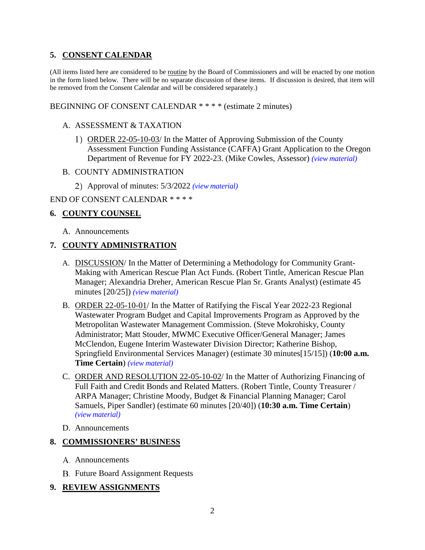# **5. CONSENT CALENDAR**

(All items listed here are considered to be routine by the Board of Commissioners and will be enacted by one motion in the form listed below. There will be no separate discussion of these items. If discussion is desired, that item will be removed from the Consent Calendar and will be considered separately.)

## BEGINNING OF CONSENT CALENDAR \* \* \* \* (estimate 2 minutes)

#### A. ASSESSMENT & TAXATION

- 1) ORDER 22-05-10-03/ In the Matter of Approving Submission of the County Assessment Function Funding Assistance (CAFFA) Grant Application to the Oregon Department of Revenue for FY 2022-23. (Mike Cowles, Assessor) *(view [material\)](http://www.lanecountyor.gov/UserFiles/Servers/Server_3585797/File/Government/BCC/2022/2022_AGENDAS/051022agenda/T.5.A.1.pdf)*
- B. COUNTY ADMINISTRATION
	- Approval of minutes: 5/3/2022 *(view [material\)](http://www.lanecountyor.gov/UserFiles/Servers/Server_3585797/File/Government/BCC/2022/2022_AGENDAS/051022agenda/T.5.B.1.pdf)*

### END OF CONSENT CALENDAR \* \* \* \*

# **6. COUNTY COUNSEL**

A. Announcements

# **7. COUNTY ADMINISTRATION**

- A. DISCUSSION/ In the Matter of Determining a Methodology for Community Grant-Making with American Rescue Plan Act Funds. (Robert Tintle, American Rescue Plan Manager; Alexandria Dreher, American Rescue Plan Sr. Grants Analyst) (estimate 45 minutes [20/25]) *(view [material\)](http://www.lanecountyor.gov/UserFiles/Servers/Server_3585797/File/Government/BCC/2022/2022_AGENDAS/051022agenda/T.7.A.pdf)*
- B. ORDER 22-05-10-01/ In the Matter of Ratifying the Fiscal Year 2022-23 Regional Wastewater Program Budget and Capital Improvements Program as Approved by the Metropolitan Wastewater Management Commission. (Steve Mokrohisky, County Administrator; Matt Stouder, MWMC Executive Officer/General Manager; James McClendon, Eugene Interim Wastewater Division Director; Katherine Bishop, Springfield Environmental Services Manager) (estimate 30 minutes[15/15]) (**10:00 a.m. Time Certain**) *(view [material\)](http://www.lanecountyor.gov/UserFiles/Servers/Server_3585797/File/Government/BCC/2022/2022_AGENDAS/051022agenda/T.7.B.pdf)*
- C. ORDER AND RESOLUTION 22-05-10-02/ In the Matter of Authorizing Financing of Full Faith and Credit Bonds and Related Matters. (Robert Tintle, County Treasurer / ARPA Manager; Christine Moody, Budget & Financial Planning Manager; Carol Samuels, Piper Sandler) (estimate 60 minutes [20/40]) (**10:30 a.m. Time Certain**) *(view [material\)](http://www.lanecountyor.gov/UserFiles/Servers/Server_3585797/File/Government/BCC/2022/2022_AGENDAS/051022agenda/T.7.C.pdf)*
- D. Announcements

# **8. COMMISSIONERS' BUSINESS**

- A. Announcements
- **B.** Future Board Assignment Requests

# **9. REVIEW ASSIGNMENTS**